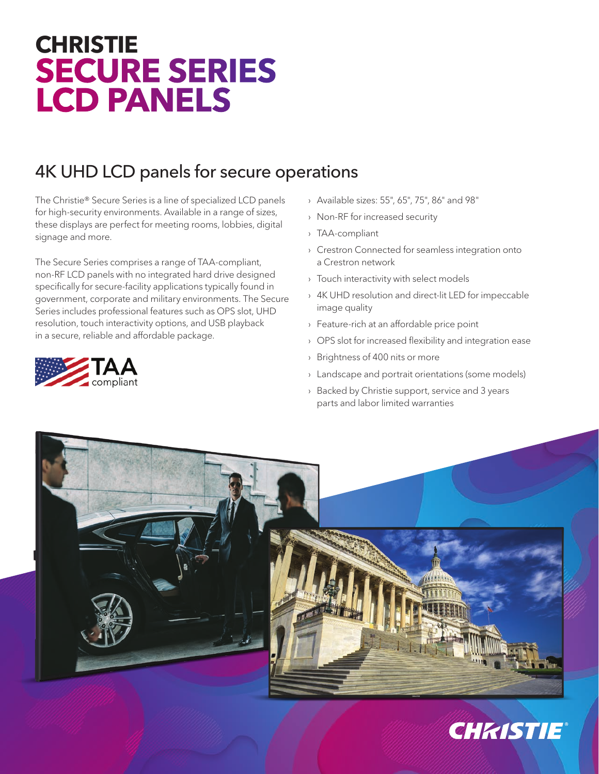## **CHRISTIE SECURE SERIES LCD PANELS**

## 4K UHD LCD panels for secure operations

The Christie® Secure Series is a line of specialized LCD panels for high-security environments. Available in a range of sizes, these displays are perfect for meeting rooms, lobbies, digital signage and more.

The Secure Series comprises a range of TAA-compliant, non-RF LCD panels with no integrated hard drive designed specifically for secure-facility applications typically found in government, corporate and military environments. The Secure Series includes professional features such as OPS slot, UHD resolution, touch interactivity options, and USB playback in a secure, reliable and affordable package.



- › Available sizes: 55", 65", 75", 86" and 98"
- › Non-RF for increased security
- › TAA-compliant
- › Crestron Connected for seamless integration onto a Crestron network
- › Touch interactivity with select models
- › 4K UHD resolution and direct-lit LED for impeccable image quality
- › Feature-rich at an affordable price point
- › OPS slot for increased flexibility and integration ease
- › Brightness of 400 nits or more
- › Landscape and portrait orientations (some models)
- › Backed by Christie support, service and 3 years parts and labor limited warranties